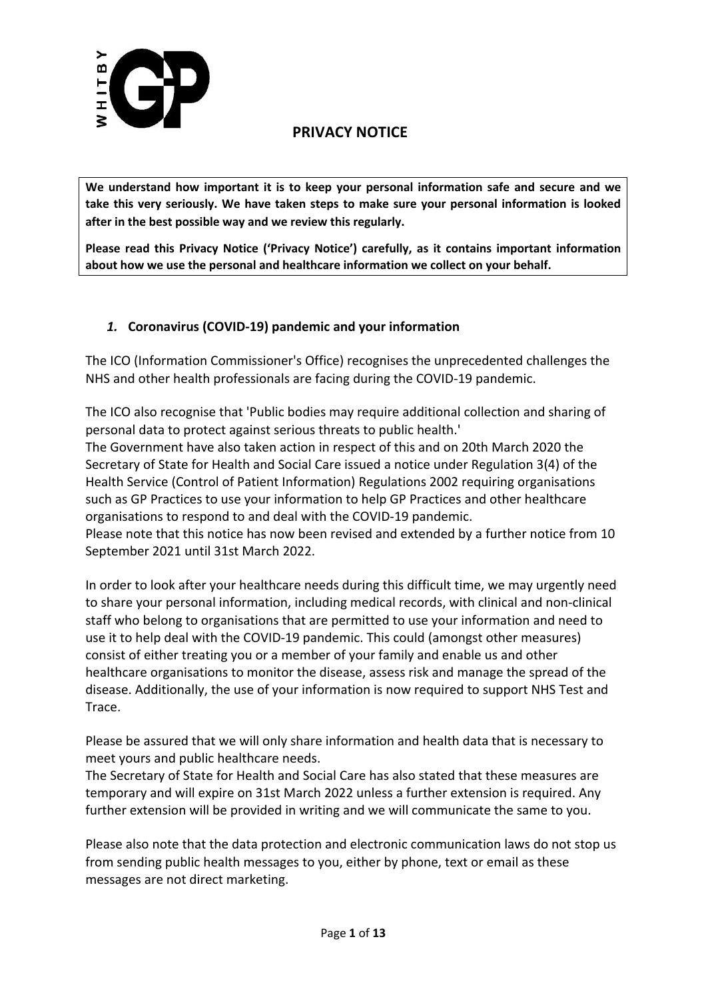

**We understand how important it is to keep your personal information safe and secure and we take this very seriously. We have taken steps to make sure your personal information is looked after in the best possible way and we review this regularly.**

**Please read this Privacy Notice ('Privacy Notice') carefully, as it contains important information about how we use the personal and healthcare information we collect on your behalf.**

## *1.* **Coronavirus (COVID-19) pandemic and your information**

The ICO (Information Commissioner's Office) recognises the unprecedented challenges the NHS and other health professionals are facing during the COVID-19 pandemic.

The ICO also recognise that 'Public bodies may require additional collection and sharing of personal data to protect against serious threats to public health.'

The Government have also taken action in respect of this and on 20th March 2020 the Secretary of State for Health and Social Care issued a notice under Regulation 3(4) of the Health Service (Control of Patient Information) Regulations 2002 requiring organisations such as GP Practices to use your information to help GP Practices and other healthcare organisations to respond to and deal with the COVID-19 pandemic.

Please note that this notice has now been revised and extended by a further notice from 10 September 2021 until 31st March 2022.

In order to look after your healthcare needs during this difficult time, we may urgently need to share your personal information, including medical records, with clinical and non-clinical staff who belong to organisations that are permitted to use your information and need to use it to help deal with the COVID-19 pandemic. This could (amongst other measures) consist of either treating you or a member of your family and enable us and other healthcare organisations to monitor the disease, assess risk and manage the spread of the disease. Additionally, the use of your information is now required to support NHS Test and Trace.

Please be assured that we will only share information and health data that is necessary to meet yours and public healthcare needs.

The Secretary of State for Health and Social Care has also stated that these measures are temporary and will expire on 31st March 2022 unless a further extension is required. Any further extension will be provided in writing and we will communicate the same to you.

Please also note that the data protection and electronic communication laws do not stop us from sending public health messages to you, either by phone, text or email as these messages are not direct marketing.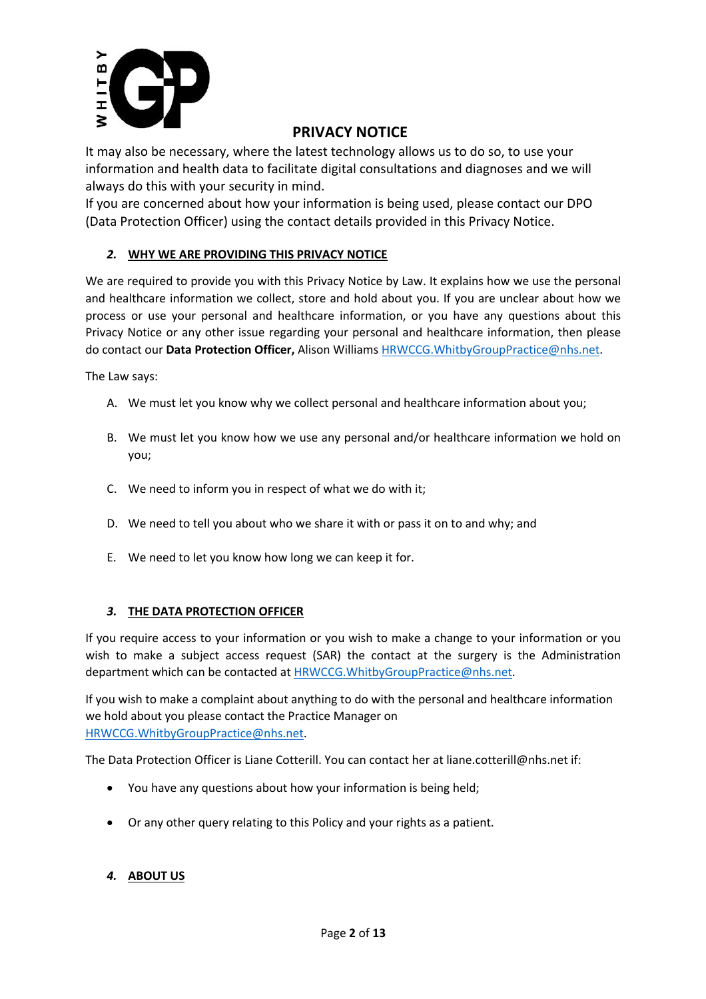

It may also be necessary, where the latest technology allows us to do so, to use your information and health data to facilitate digital consultations and diagnoses and we will always do this with your security in mind.

If you are concerned about how your information is being used, please contact our DPO (Data Protection Officer) using the contact details provided in this Privacy Notice.

## *2.* **WHY WE ARE PROVIDING THIS PRIVACY NOTICE**

We are required to provide you with this Privacy Notice by Law. It explains how we use the personal and healthcare information we collect, store and hold about you. If you are unclear about how we process or use your personal and healthcare information, or you have any questions about this Privacy Notice or any other issue regarding your personal and healthcare information, then please do contact our **Data Protection Officer,** Alison Williams HRWCCG.WhitbyGroupPractice@nhs.net.

The Law says:

- A. We must let you know why we collect personal and healthcare information about you;
- B. We must let you know how we use any personal and/or healthcare information we hold on you;
- C. We need to inform you in respect of what we do with it;
- D. We need to tell you about who we share it with or pass it on to and why; and
- E. We need to let you know how long we can keep it for.

## *3.* **THE DATA PROTECTION OFFICER**

If you require access to your information or you wish to make a change to your information or you wish to make a subject access request (SAR) the contact at the surgery is the Administration department which can be contacted at HRWCCG.WhitbyGroupPractice@nhs.net.

If you wish to make a complaint about anything to do with the personal and healthcare information we hold about you please contact the Practice Manager on HRWCCG.WhitbyGroupPractice@nhs.net.

The Data Protection Officer is Liane Cotterill. You can contact her at liane.cotterill@nhs.net if:

- You have any questions about how your information is being held;
- Or any other query relating to this Policy and your rights as a patient.

## *4.* **ABOUT US**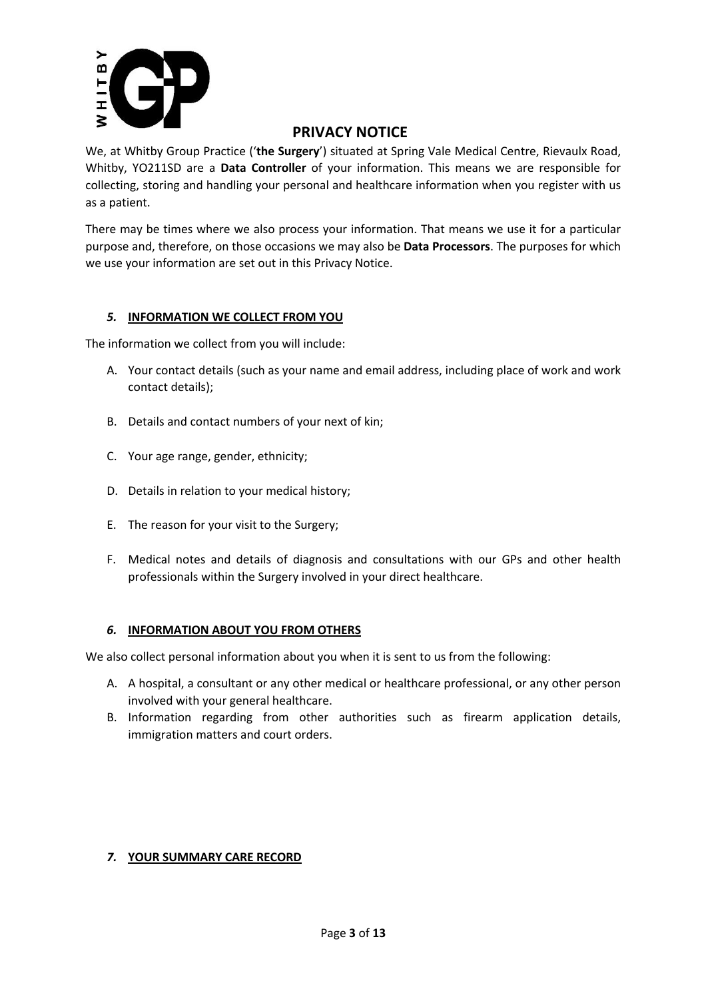

We, at Whitby Group Practice ('**the Surgery**') situated at Spring Vale Medical Centre, Rievaulx Road, Whitby, YO211SD are a **Data Controller** of your information. This means we are responsible for collecting, storing and handling your personal and healthcare information when you register with us as a patient.

There may be times where we also process your information. That means we use it for a particular purpose and, therefore, on those occasions we may also be **Data Processors**. The purposes for which we use your information are set out in this Privacy Notice.

## *5.* **INFORMATION WE COLLECT FROM YOU**

The information we collect from you will include:

- A. Your contact details (such as your name and email address, including place of work and work contact details);
- B. Details and contact numbers of your next of kin;
- C. Your age range, gender, ethnicity;
- D. Details in relation to your medical history;
- E. The reason for your visit to the Surgery;
- F. Medical notes and details of diagnosis and consultations with our GPs and other health professionals within the Surgery involved in your direct healthcare.

## *6.* **INFORMATION ABOUT YOU FROM OTHERS**

We also collect personal information about you when it is sent to us from the following:

- A. A hospital, a consultant or any other medical or healthcare professional, or any other person involved with your general healthcare.
- B. Information regarding from other authorities such as firearm application details, immigration matters and court orders.

## *7.* **YOUR SUMMARY CARE RECORD**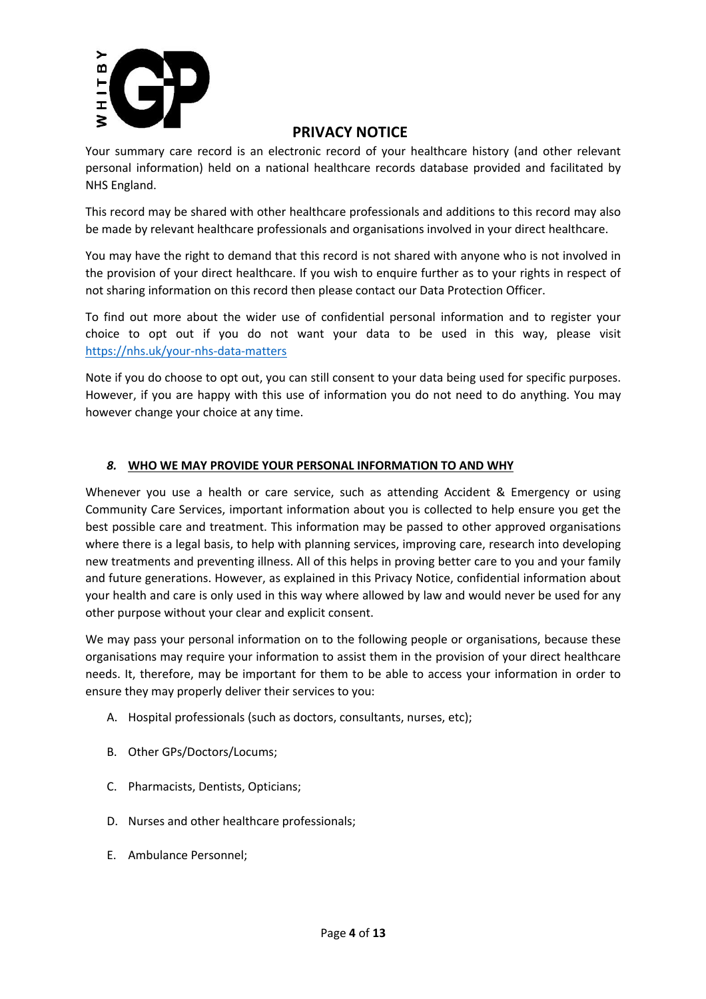

Your summary care record is an electronic record of your healthcare history (and other relevant personal information) held on a national healthcare records database provided and facilitated by NHS England.

This record may be shared with other healthcare professionals and additions to this record may also be made by relevant healthcare professionals and organisations involved in your direct healthcare.

You may have the right to demand that this record is not shared with anyone who is not involved in the provision of your direct healthcare. If you wish to enquire further as to your rights in respect of not sharing information on this record then please contact our Data Protection Officer.

To find out more about the wider use of confidential personal information and to register your choice to opt out if you do not want your data to be used in this way, please visit https://nhs.uk/your-nhs-data-matters

Note if you do choose to opt out, you can still consent to your data being used for specific purposes. However, if you are happy with this use of information you do not need to do anything. You may however change your choice at any time.

## *8.* **WHO WE MAY PROVIDE YOUR PERSONAL INFORMATION TO AND WHY**

Whenever you use a health or care service, such as attending Accident & Emergency or using Community Care Services, important information about you is collected to help ensure you get the best possible care and treatment. This information may be passed to other approved organisations where there is a legal basis, to help with planning services, improving care, research into developing new treatments and preventing illness. All of this helps in proving better care to you and your family and future generations. However, as explained in this Privacy Notice, confidential information about your health and care is only used in this way where allowed by law and would never be used for any other purpose without your clear and explicit consent.

We may pass your personal information on to the following people or organisations, because these organisations may require your information to assist them in the provision of your direct healthcare needs. It, therefore, may be important for them to be able to access your information in order to ensure they may properly deliver their services to you:

- A. Hospital professionals (such as doctors, consultants, nurses, etc);
- B. Other GPs/Doctors/Locums;
- C. Pharmacists, Dentists, Opticians;
- D. Nurses and other healthcare professionals;
- E. Ambulance Personnel;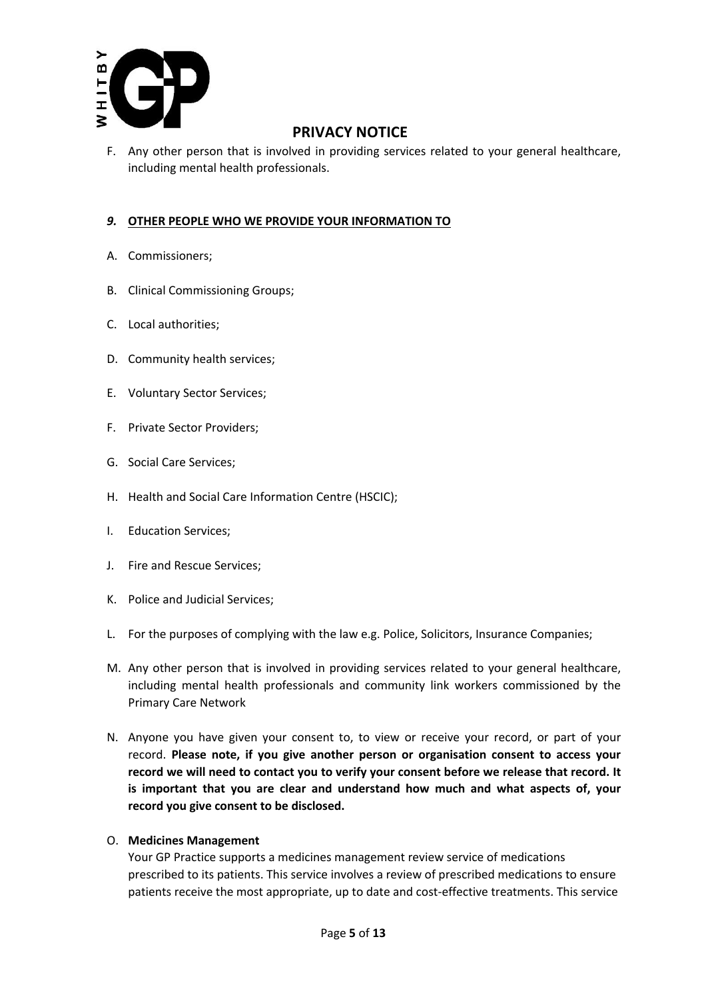

F. Any other person that is involved in providing services related to your general healthcare, including mental health professionals.

## *9.* **OTHER PEOPLE WHO WE PROVIDE YOUR INFORMATION TO**

- A. Commissioners;
- B. Clinical Commissioning Groups;
- C. Local authorities;
- D. Community health services;
- E. Voluntary Sector Services;
- F. Private Sector Providers;
- G. Social Care Services;
- H. Health and Social Care Information Centre (HSCIC);
- I. Education Services;
- J. Fire and Rescue Services;
- K. Police and Judicial Services;
- L. For the purposes of complying with the law e.g. Police, Solicitors, Insurance Companies;
- M. Any other person that is involved in providing services related to your general healthcare, including mental health professionals and community link workers commissioned by the Primary Care Network
- N. Anyone you have given your consent to, to view or receive your record, or part of your record. **Please note, if you give another person or organisation consent to access your record we will need to contact you to verify your consent before we release that record. It is important that you are clear and understand how much and what aspects of, your record you give consent to be disclosed.**
- O. **Medicines Management**

Your GP Practice supports a medicines management review service of medications prescribed to its patients. This service involves a review of prescribed medications to ensure patients receive the most appropriate, up to date and cost-effective treatments. This service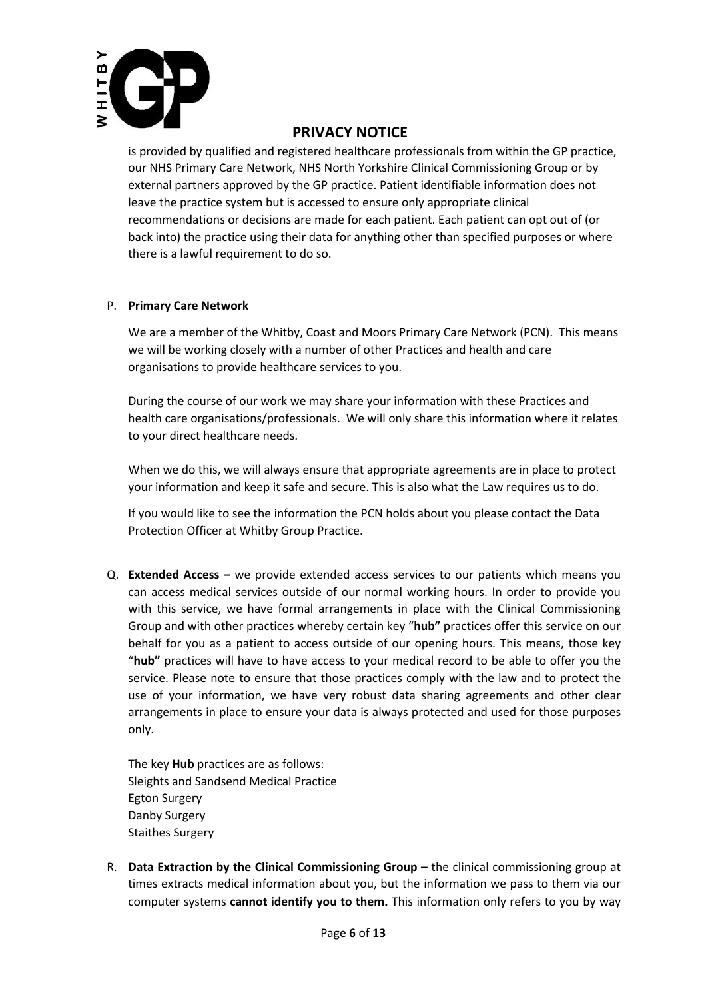

is provided by qualified and registered healthcare professionals from within the GP practice, our NHS Primary Care Network, NHS North Yorkshire Clinical Commissioning Group or by external partners approved by the GP practice. Patient identifiable information does not leave the practice system but is accessed to ensure only appropriate clinical recommendations or decisions are made for each patient. Each patient can opt out of (or back into) the practice using their data for anything other than specified purposes or where there is a lawful requirement to do so.

#### P. **Primary Care Network**

We are a member of the Whitby, Coast and Moors Primary Care Network (PCN). This means we will be working closely with a number of other Practices and health and care organisations to provide healthcare services to you.

During the course of our work we may share your information with these Practices and health care organisations/professionals. We will only share this information where it relates to your direct healthcare needs.

When we do this, we will always ensure that appropriate agreements are in place to protect your information and keep it safe and secure. This is also what the Law requires us to do.

If you would like to see the information the PCN holds about you please contact the Data Protection Officer at Whitby Group Practice.

Q. **Extended Access –** we provide extended access services to our patients which means you can access medical services outside of our normal working hours. In order to provide you with this service, we have formal arrangements in place with the Clinical Commissioning Group and with other practices whereby certain key "**hub"** practices offer this service on our behalf for you as a patient to access outside of our opening hours. This means, those key "**hub"** practices will have to have access to your medical record to be able to offer you the service. Please note to ensure that those practices comply with the law and to protect the use of your information, we have very robust data sharing agreements and other clear arrangements in place to ensure your data is always protected and used for those purposes only.

The key **Hub** practices are as follows: Sleights and Sandsend Medical Practice Egton Surgery Danby Surgery Staithes Surgery

R. **Data Extraction by the Clinical Commissioning Group –** the clinical commissioning group at times extracts medical information about you, but the information we pass to them via our computer systems **cannot identify you to them.** This information only refers to you by way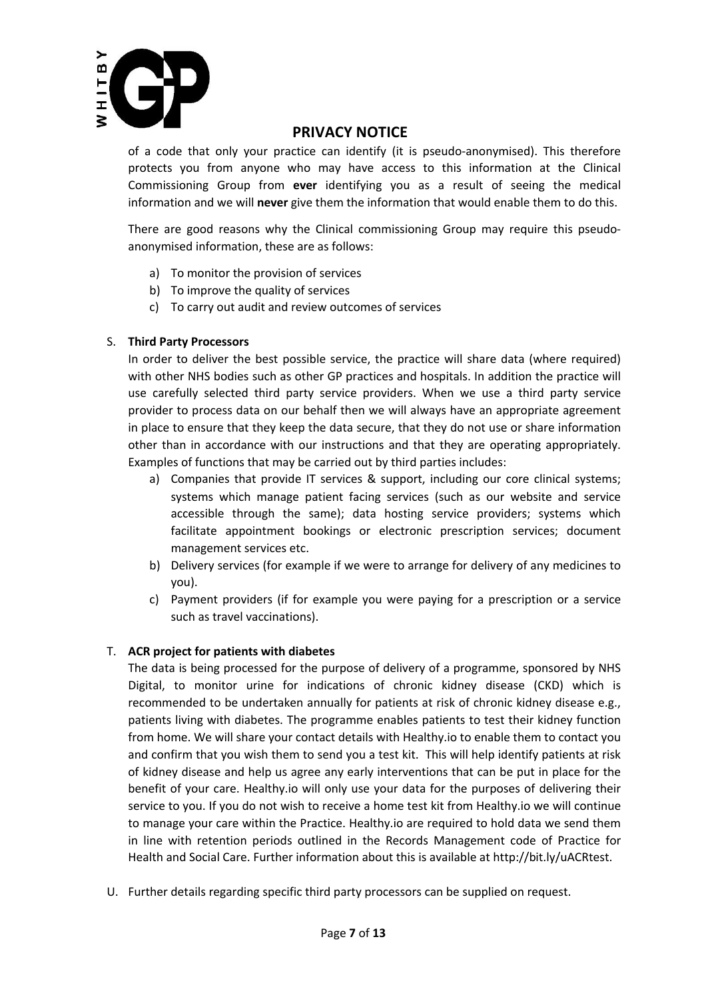

of a code that only your practice can identify (it is pseudo-anonymised). This therefore protects you from anyone who may have access to this information at the Clinical Commissioning Group from **ever** identifying you as a result of seeing the medical information and we will **never** give them the information that would enable them to do this.

There are good reasons why the Clinical commissioning Group may require this pseudoanonymised information, these are as follows:

- a) To monitor the provision of services
- b) To improve the quality of services
- c) To carry out audit and review outcomes of services

## S. **Third Party Processors**

In order to deliver the best possible service, the practice will share data (where required) with other NHS bodies such as other GP practices and hospitals. In addition the practice will use carefully selected third party service providers. When we use a third party service provider to process data on our behalf then we will always have an appropriate agreement in place to ensure that they keep the data secure, that they do not use or share information other than in accordance with our instructions and that they are operating appropriately. Examples of functions that may be carried out by third parties includes:

- a) Companies that provide IT services & support, including our core clinical systems; systems which manage patient facing services (such as our website and service accessible through the same); data hosting service providers; systems which facilitate appointment bookings or electronic prescription services; document management services etc.
- b) Delivery services (for example if we were to arrange for delivery of any medicines to you).
- c) Payment providers (if for example you were paying for a prescription or a service such as travel vaccinations).

## T. **ACR project for patients with diabetes**

The data is being processed for the purpose of delivery of a programme, sponsored by NHS Digital, to monitor urine for indications of chronic kidney disease (CKD) which is recommended to be undertaken annually for patients at risk of chronic kidney disease e.g., patients living with diabetes. The programme enables patients to test their kidney function from home. We will share your contact details with Healthy.io to enable them to contact you and confirm that you wish them to send you a test kit. This will help identify patients at risk of kidney disease and help us agree any early interventions that can be put in place for the benefit of your care. Healthy.io will only use your data for the purposes of delivering their service to you. If you do not wish to receive a home test kit from Healthy.io we will continue to manage your care within the Practice. Healthy.io are required to hold data we send them in line with retention periods outlined in the Records Management code of Practice for Health and Social Care. Further information about this is available at http://bit.ly/uACRtest.

U. Further details regarding specific third party processors can be supplied on request.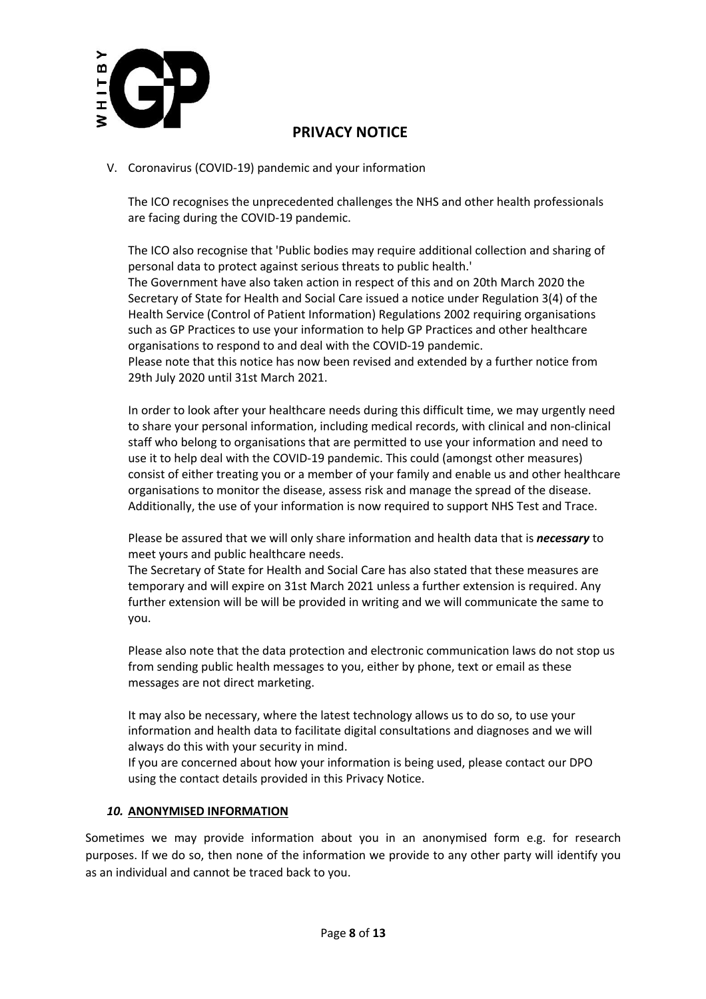

V. Coronavirus (COVID-19) pandemic and your information

The ICO recognises the unprecedented challenges the NHS and other health professionals are facing during the COVID-19 pandemic.

The ICO also recognise that 'Public bodies may require additional collection and sharing of personal data to protect against serious threats to public health.' The Government have also taken action in respect of this and on 20th March 2020 the Secretary of State for Health and Social Care issued a notice under Regulation 3(4) of the Health Service (Control of Patient Information) Regulations 2002 requiring organisations such as GP Practices to use your information to help GP Practices and other healthcare organisations to respond to and deal with the COVID-19 pandemic.

Please note that this notice has now been revised and extended by a further notice from 29th July 2020 until 31st March 2021.

In order to look after your healthcare needs during this difficult time, we may urgently need to share your personal information, including medical records, with clinical and non-clinical staff who belong to organisations that are permitted to use your information and need to use it to help deal with the COVID-19 pandemic. This could (amongst other measures) consist of either treating you or a member of your family and enable us and other healthcare organisations to monitor the disease, assess risk and manage the spread of the disease. Additionally, the use of your information is now required to support NHS Test and Trace.

Please be assured that we will only share information and health data that is *necessary* to meet yours and public healthcare needs.

The Secretary of State for Health and Social Care has also stated that these measures are temporary and will expire on 31st March 2021 unless a further extension is required. Any further extension will be will be provided in writing and we will communicate the same to you.

Please also note that the data protection and electronic communication laws do not stop us from sending public health messages to you, either by phone, text or email as these messages are not direct marketing.

It may also be necessary, where the latest technology allows us to do so, to use your information and health data to facilitate digital consultations and diagnoses and we will always do this with your security in mind.

If you are concerned about how your information is being used, please contact our DPO using the contact details provided in this Privacy Notice.

## *10.* **ANONYMISED INFORMATION**

Sometimes we may provide information about you in an anonymised form e.g. for research purposes. If we do so, then none of the information we provide to any other party will identify you as an individual and cannot be traced back to you.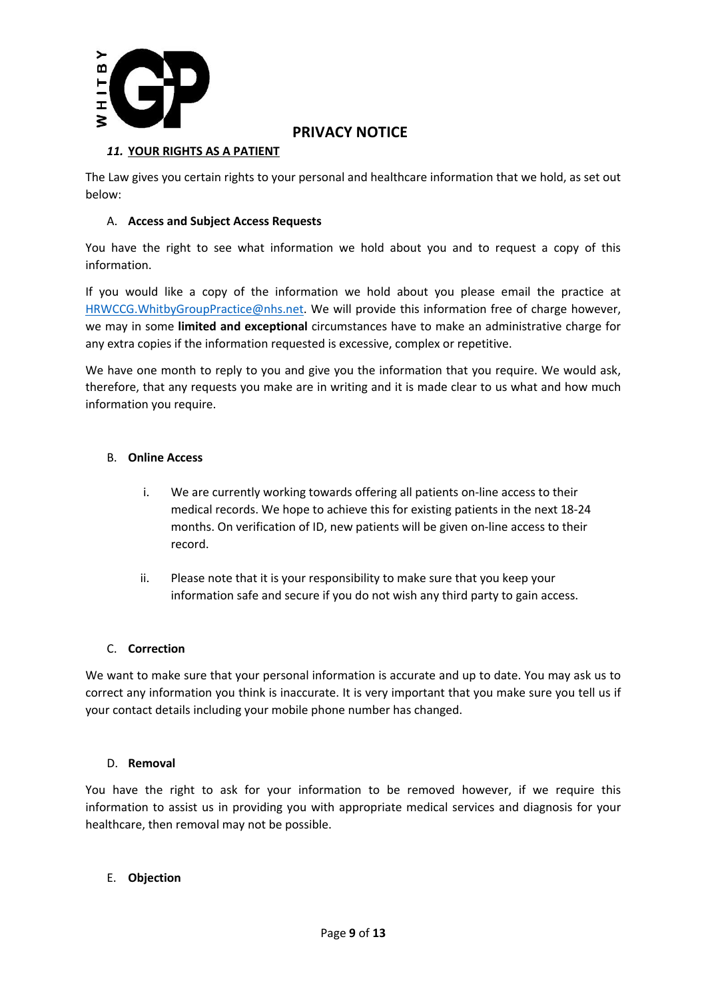

## *11.* **YOUR RIGHTS AS A PATIENT**

The Law gives you certain rights to your personal and healthcare information that we hold, as set out below:

## A. **Access and Subject Access Requests**

You have the right to see what information we hold about you and to request a copy of this information.

If you would like a copy of the information we hold about you please email the practice at HRWCCG.WhitbyGroupPractice@nhs.net. We will provide this information free of charge however, we may in some **limited and exceptional** circumstances have to make an administrative charge for any extra copies if the information requested is excessive, complex or repetitive.

We have one month to reply to you and give you the information that you require. We would ask, therefore, that any requests you make are in writing and it is made clear to us what and how much information you require.

## B. **Online Access**

- i. We are currently working towards offering all patients on-line access to their medical records. We hope to achieve this for existing patients in the next 18-24 months. On verification of ID, new patients will be given on-line access to their record.
- ii. Please note that it is your responsibility to make sure that you keep your information safe and secure if you do not wish any third party to gain access.

## C. **Correction**

We want to make sure that your personal information is accurate and up to date. You may ask us to correct any information you think is inaccurate. It is very important that you make sure you tell us if your contact details including your mobile phone number has changed.

#### D. **Removal**

You have the right to ask for your information to be removed however, if we require this information to assist us in providing you with appropriate medical services and diagnosis for your healthcare, then removal may not be possible.

## E. **Objection**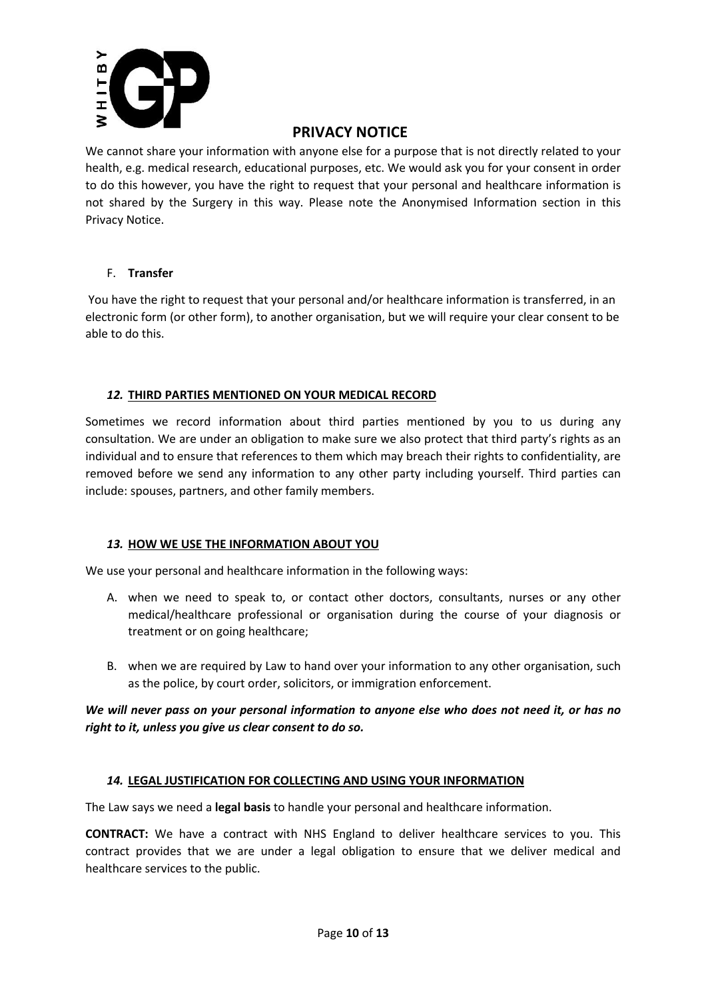

We cannot share your information with anyone else for a purpose that is not directly related to your health, e.g. medical research, educational purposes, etc. We would ask you for your consent in order to do this however, you have the right to request that your personal and healthcare information is not shared by the Surgery in this way. Please note the Anonymised Information section in this Privacy Notice.

#### F. **Transfer**

You have the right to request that your personal and/or healthcare information is transferred, in an electronic form (or other form), to another organisation, but we will require your clear consent to be able to do this.

## *12.* **THIRD PARTIES MENTIONED ON YOUR MEDICAL RECORD**

Sometimes we record information about third parties mentioned by you to us during any consultation. We are under an obligation to make sure we also protect that third party's rights as an individual and to ensure that references to them which may breach their rights to confidentiality, are removed before we send any information to any other party including yourself. Third parties can include: spouses, partners, and other family members.

## *13.* **HOW WE USE THE INFORMATION ABOUT YOU**

We use your personal and healthcare information in the following ways:

- A. when we need to speak to, or contact other doctors, consultants, nurses or any other medical/healthcare professional or organisation during the course of your diagnosis or treatment or on going healthcare;
- B. when we are required by Law to hand over your information to any other organisation, such as the police, by court order, solicitors, or immigration enforcement.

## *We will never pass on your personal information to anyone else who does not need it, or has no right to it, unless you give us clear consent to do so.*

## *14.* **LEGAL JUSTIFICATION FOR COLLECTING AND USING YOUR INFORMATION**

The Law says we need a **legal basis** to handle your personal and healthcare information.

**CONTRACT:** We have a contract with NHS England to deliver healthcare services to you. This contract provides that we are under a legal obligation to ensure that we deliver medical and healthcare services to the public.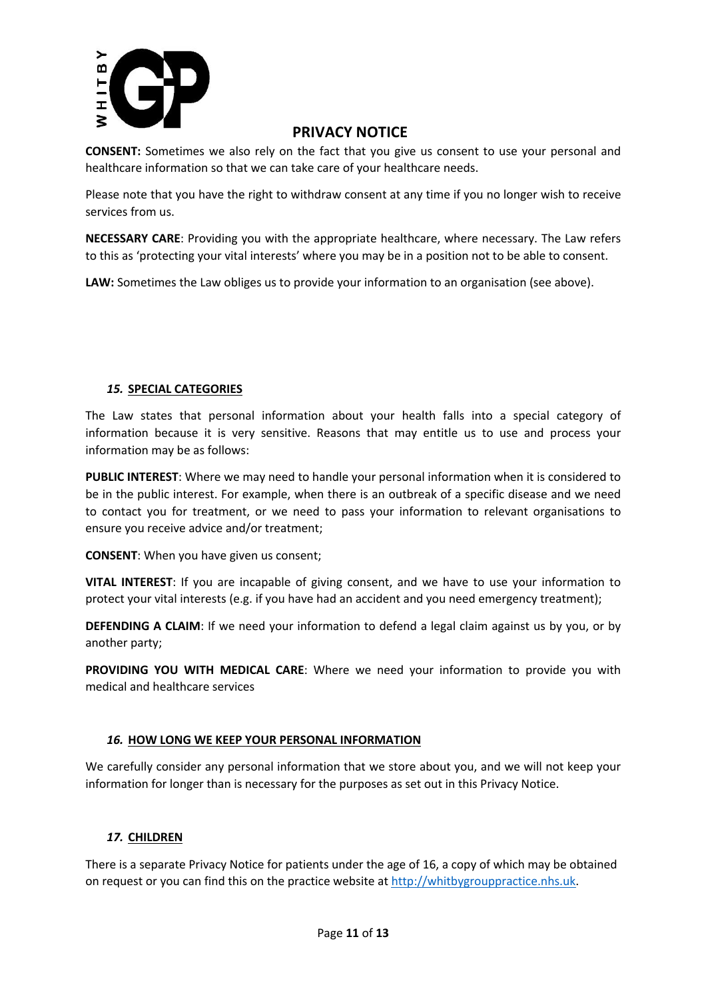

**CONSENT:** Sometimes we also rely on the fact that you give us consent to use your personal and healthcare information so that we can take care of your healthcare needs.

Please note that you have the right to withdraw consent at any time if you no longer wish to receive services from us.

**NECESSARY CARE**: Providing you with the appropriate healthcare, where necessary. The Law refers to this as 'protecting your vital interests' where you may be in a position not to be able to consent.

**LAW:** Sometimes the Law obliges us to provide your information to an organisation (see above).

## *15.* **SPECIAL CATEGORIES**

The Law states that personal information about your health falls into a special category of information because it is very sensitive. Reasons that may entitle us to use and process your information may be as follows:

**PUBLIC INTEREST**: Where we may need to handle your personal information when it is considered to be in the public interest. For example, when there is an outbreak of a specific disease and we need to contact you for treatment, or we need to pass your information to relevant organisations to ensure you receive advice and/or treatment;

**CONSENT**: When you have given us consent;

**VITAL INTEREST**: If you are incapable of giving consent, and we have to use your information to protect your vital interests (e.g. if you have had an accident and you need emergency treatment);

**DEFENDING A CLAIM:** If we need your information to defend a legal claim against us by you, or by another party;

**PROVIDING YOU WITH MEDICAL CARE**: Where we need your information to provide you with medical and healthcare services

## *16.* **HOW LONG WE KEEP YOUR PERSONAL INFORMATION**

We carefully consider any personal information that we store about you, and we will not keep your information for longer than is necessary for the purposes as set out in this Privacy Notice.

## *17.* **CHILDREN**

There is a separate Privacy Notice for patients under the age of 16, a copy of which may be obtained on request or you can find this on the practice website at http://whitbygrouppractice.nhs.uk.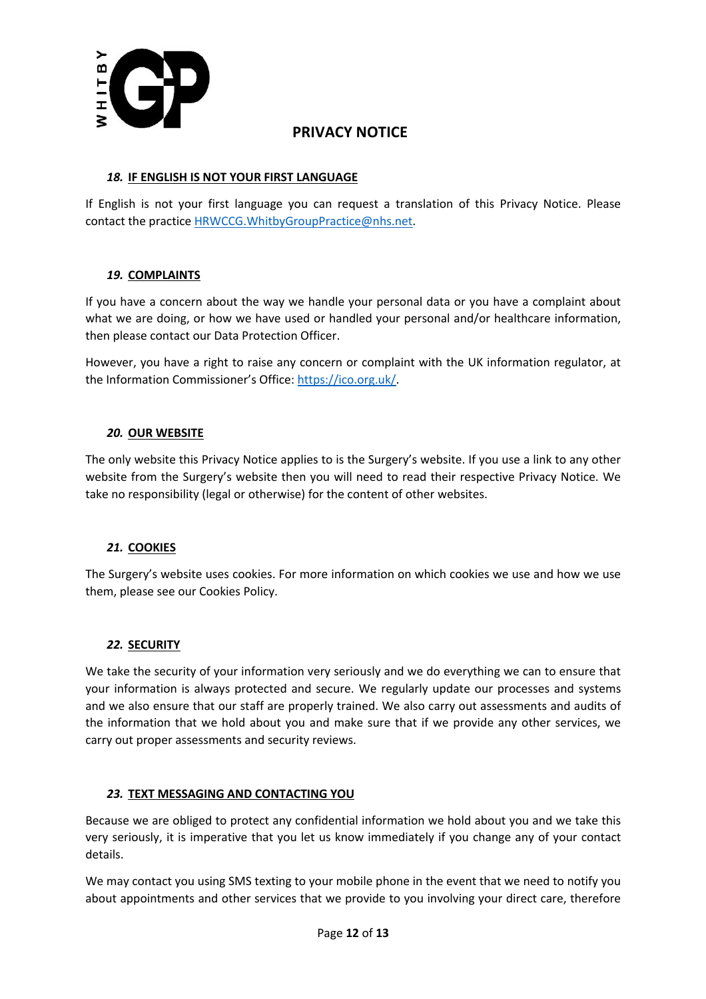

## *18.* **IF ENGLISH IS NOT YOUR FIRST LANGUAGE**

If English is not your first language you can request a translation of this Privacy Notice. Please contact the practice HRWCCG.WhitbyGroupPractice@nhs.net.

## *19.* **COMPLAINTS**

If you have a concern about the way we handle your personal data or you have a complaint about what we are doing, or how we have used or handled your personal and/or healthcare information, then please contact our Data Protection Officer.

However, you have a right to raise any concern or complaint with the UK information regulator, at the Information Commissioner's Office: https://ico.org.uk/.

## *20.* **OUR WEBSITE**

The only website this Privacy Notice applies to is the Surgery's website. If you use a link to any other website from the Surgery's website then you will need to read their respective Privacy Notice. We take no responsibility (legal or otherwise) for the content of other websites.

## *21.* **COOKIES**

The Surgery's website uses cookies. For more information on which cookies we use and how we use them, please see our Cookies Policy.

## *22.* **SECURITY**

We take the security of your information very seriously and we do everything we can to ensure that your information is always protected and secure. We regularly update our processes and systems and we also ensure that our staff are properly trained. We also carry out assessments and audits of the information that we hold about you and make sure that if we provide any other services, we carry out proper assessments and security reviews.

## *23.* **TEXT MESSAGING AND CONTACTING YOU**

Because we are obliged to protect any confidential information we hold about you and we take this very seriously, it is imperative that you let us know immediately if you change any of your contact details.

We may contact you using SMS texting to your mobile phone in the event that we need to notify you about appointments and other services that we provide to you involving your direct care, therefore